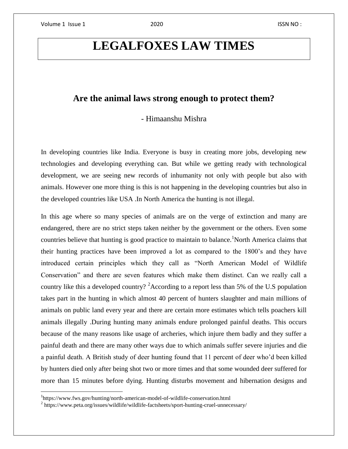l

## **LEGALFOXES LAW TIMES**

## **Are the animal laws strong enough to protect them?**

- Himaanshu Mishra

In developing countries like India. Everyone is busy in creating more jobs, developing new technologies and developing everything can. But while we getting ready with technological development, we are seeing new records of inhumanity not only with people but also with animals. However one more thing is this is not happening in the developing countries but also in the developed countries like USA .In North America the hunting is not illegal.

In this age where so many species of animals are on the verge of extinction and many are endangered, there are no strict steps taken neither by the government or the others. Even some countries believe that hunting is good practice to maintain to balance.<sup>1</sup>North America claims that their hunting practices have been improved a lot as compared to the 1800's and they have introduced certain principles which they call as "North American Model of Wildlife Conservation" and there are seven features which make them distinct. Can we really call a country like this a developed country? <sup>2</sup>According to a report less than 5% of the U.S population takes part in the hunting in which almost 40 percent of hunters slaughter and main millions of animals on public land every year and there are certain more estimates which tells poachers kill animals illegally .During hunting many animals endure prolonged painful deaths. This occurs because of the many reasons like usage of archeries, which injure them badly and they suffer a painful death and there are many other ways due to which animals suffer severe injuries and die a painful death. A British study of deer hunting found that 11 percent of deer who'd been killed by hunters died only after being shot two or more times and that some wounded deer suffered for more than 15 minutes before dying. Hunting disturbs movement and hibernation designs and

<sup>&</sup>lt;sup>1</sup>https://www.fws.gov/hunting/north-american-model-of-wildlife-conservation.html

<sup>&</sup>lt;sup>2</sup> https://www.peta.org/issues/wildlife/wildlife-factsheets/sport-hunting-cruel-unnecessary/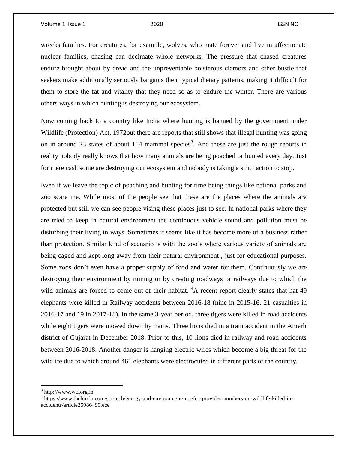wrecks families. For creatures, for example, wolves, who mate forever and live in affectionate nuclear families, chasing can decimate whole networks. The pressure that chased creatures endure brought about by dread and the unpreventable boisterous clamors and other bustle that seekers make additionally seriously bargains their typical dietary patterns, making it difficult for them to store the fat and vitality that they need so as to endure the winter. There are various others ways in which hunting is destroying our ecosystem.

Now coming back to a country like India where hunting is banned by the government under Wildlife (Protection) Act, 1972but there are reports that still shows that illegal hunting was going on in around 23 states of about 114 mammal species<sup>3</sup>. And these are just the rough reports in reality nobody really knows that how many animals are being poached or hunted every day. Just for mere cash some are destroying our ecosystem and nobody is taking a strict action to stop.

Even if we leave the topic of poaching and hunting for time being things like national parks and zoo scare me. While most of the people see that these are the places where the animals are protected but still we can see people vising these places just to see. In national parks where they are tried to keep in natural environment the continuous vehicle sound and pollution must be disturbing their living in ways. Sometimes it seems like it has become more of a business rather than protection. Similar kind of scenario is with the zoo's where various variety of animals are being caged and kept long away from their natural environment , just for educational purposes. Some zoos don't even have a proper supply of food and water for them. Continuously we are destroying their environment by mining or by creating roadways or railways due to which the wild animals are forced to come out of their habitat.  ${}^{4}A$  recent report clearly states that hat 49 elephants were killed in Railway accidents between 2016-18 (nine in 2015-16, 21 casualties in 2016-17 and 19 in 2017-18). In the same 3-year period, three tigers were killed in road accidents while eight tigers were mowed down by trains. Three lions died in a train accident in the Amerli district of Gujarat in December 2018. Prior to this, 10 lions died in railway and road accidents between 2016-2018. Another danger is hanging electric wires which become a big threat for the wildlife due to which around 461 elephants were electrocuted in different parts of the country.

 $\overline{\phantom{a}}$ 

<sup>&</sup>lt;sup>3</sup> http://www.wti.org.in

<sup>4</sup> https://www.thehindu.com/sci-tech/energy-and-environment/moefcc-provides-numbers-on-wildlife-killed-inaccidents/article25986499.ece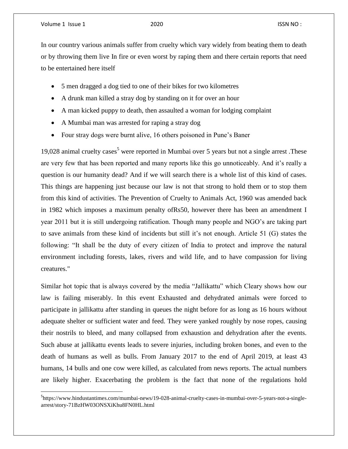l

In our country various animals suffer from cruelty which vary widely from beating them to death or by throwing them live In fire or even worst by raping them and there certain reports that need to be entertained here itself

- 5 men dragged a dog tied to one of their bikes for two kilometres
- A drunk man killed a stray dog by standing on it for over an hour
- A man kicked puppy to death, then assaulted a woman for lodging complaint
- A Mumbai man was arrested for raping a stray dog
- Four stray dogs were burnt alive, 16 others poisoned in Pune's Baner

19,028 animal cruelty cases<sup>5</sup> were reported in Mumbai over 5 years but not a single arrest. These are very few that has been reported and many reports like this go unnoticeably. And it's really a question is our humanity dead? And if we will search there is a whole list of this kind of cases. This things are happening just because our law is not that strong to hold them or to stop them from this kind of activities. The Prevention of Cruelty to Animals Act, 1960 was amended back in 1982 which imposes a maximum penalty ofRs50, however there has been an amendment I year 2011 but it is still undergoing ratification. Though many people and NGO's are taking part to save animals from these kind of incidents but still it's not enough. Article 51 (G) states the following: "It shall be the duty of every citizen of India to protect and improve the natural environment including forests, lakes, rivers and wild life, and to have compassion for living creatures."

Similar hot topic that is always covered by the media "Jallikattu" which Cleary shows how our law is failing miserably. In this event Exhausted and dehydrated animals were forced to participate in jallikattu after standing in queues the night before for as long as 16 hours without adequate shelter or sufficient water and feed. They were yanked roughly by nose ropes, causing their nostrils to bleed, and many collapsed from exhaustion and dehydration after the events. Such abuse at jallikattu events leads to severe injuries, including broken bones, and even to the death of humans as well as bulls. From January 2017 to the end of April 2019, at least 43 humans, 14 bulls and one cow were killed, as calculated from news reports. The actual numbers are likely higher. Exacerbating the problem is the fact that none of the regulations hold

<sup>&</sup>lt;sup>5</sup>https://www.hindustantimes.com/mumbai-news/19-028-animal-cruelty-cases-in-mumbai-over-5-years-not-a-singlearrest/story-71BzHW03ONSXiKhu8FN0HL.html